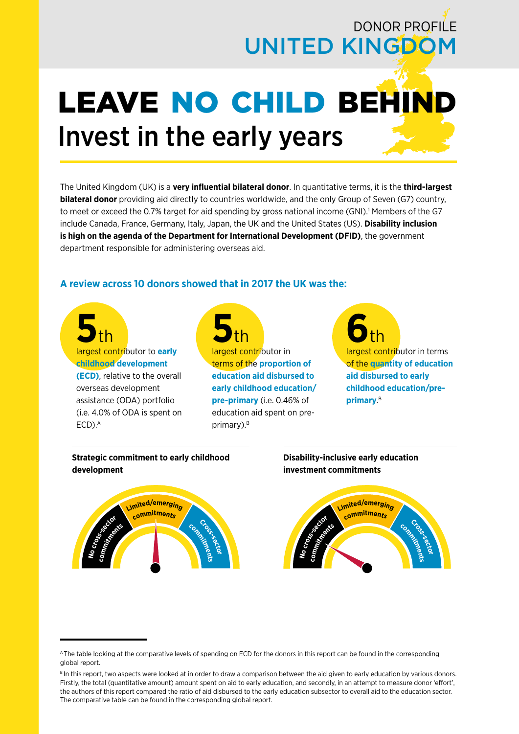# DONOR PROFILE UNITED KINGDOM

# LEAVE NO CHILD BEHIND Invest in the early years

The United Kingdom (UK) is a **very influential bilateral donor**. In quantitative terms, it is the **third-largest bilateral donor** providing aid directly to countries worldwide, and the only Group of Seven (G7) country, to meet or exceed the 0.7% target for aid spending by gross national income (GNI).<sup>1</sup> Members of the G7 include Canada, France, Germany, Italy, Japan, the UK and the United States (US). **Disability inclusion is high on the agenda of the Department for International Development (DFID)**, the government department responsible for administering overseas aid.

## **A review across 10 donors showed that in 2017 the UK was the:**

**5**th largest contributor to **early childhood development (ECD)**, relative to the overall overseas development assistance (ODA) portfolio (i.e. 4.0% of ODA is spent on ECD).<sup>A</sup>

**5**<br> **5**<sup>th</sup> **Contributor** in terms of the **proportion of education aid disbursed to early childhood education/ pre-primary** (i.e. 0.46% of education aid spent on preprimary).<sup>B</sup>

**6**<br> **6 th largest contributor** in terms of the **quantity of education aid disbursed to early childhood education/preprimary**. B

**Strategic commitment to early childhood development**



**Disability-inclusive early education investment commitments**



A The table looking at the comparative levels of spending on ECD for the donors in this report can be found in the corresponding global report.

BIn this report, two aspects were looked at in order to draw a comparison between the aid given to early education by various donors. Firstly, the total (quantitative amount) amount spent on aid to early education, and secondly, in an attempt to measure donor 'effort', the authors of this report compared the ratio of aid disbursed to the early education subsector to overall aid to the education sector. The comparative table can be found in the corresponding global report.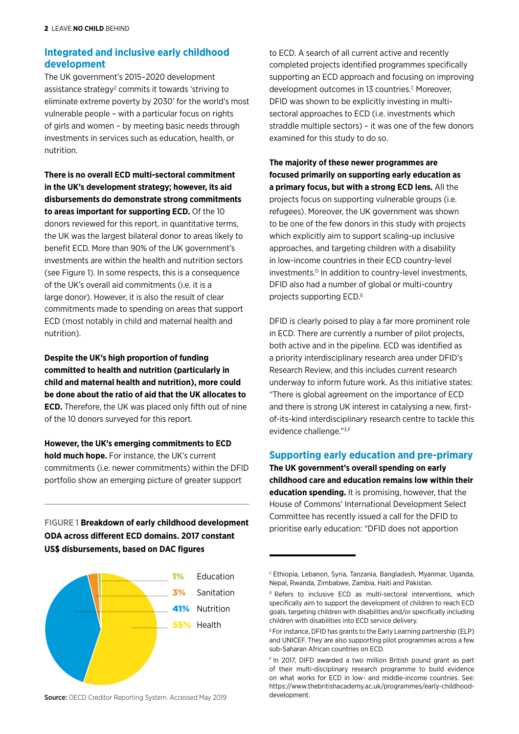## **Integrated and inclusive early childhood development**

The UK government's 2015–2020 development assistance strategy<sup>2</sup> commits it towards 'striving to eliminate extreme poverty by 2030' for the world's most vulnerable people – with a particular focus on rights of girls and women – by meeting basic needs through investments in services such as education, health, or nutrition.

**There is no overall ECD multi-sectoral commitment in the UK's development strategy; however, its aid disbursements do demonstrate strong commitments to areas important for supporting ECD.** Of the 10 donors reviewed for this report, in quantitative terms, the UK was the largest bilateral donor to areas likely to benefit ECD. More than 90% of the UK government's investments are within the health and nutrition sectors (see Figure 1). In some respects, this is a consequence of the UK's overall aid commitments (i.e. it is a large donor). However, it is also the result of clear commitments made to spending on areas that support ECD (most notably in child and maternal health and nutrition).

**Despite the UK's high proportion of funding committed to health and nutrition (particularly in child and maternal health and nutrition), more could be done about the ratio of aid that the UK allocates to ECD.** Therefore, the UK was placed only fifth out of nine of the 10 donors surveyed for this report.

**However, the UK's emerging commitments to ECD hold much hope.** For instance, the UK's current commitments (i.e. newer commitments) within the DFID portfolio show an emerging picture of greater support

FIGURE 1 **Breakdown of early childhood development ODA across different ECD domains. 2017 constant US\$ disbursements, based on DAC figures**



Source: OECD Creditor Reporting System. Accessed May 2019

to ECD. A search of all current active and recently completed projects identified programmes specifically supporting an ECD approach and focusing on improving development outcomes in 13 countries.<sup>C</sup> Moreover, DFID was shown to be explicitly investing in multisectoral approaches to ECD (i.e. investments which straddle multiple sectors) – it was one of the few donors examined for this study to do so.

**The majority of these newer programmes are focused primarily on supporting early education as a primary focus, but with a strong ECD lens.** All the projects focus on supporting vulnerable groups (i.e. refugees). Moreover, the UK government was shown to be one of the few donors in this study with projects which explicitly aim to support scaling-up inclusive approaches, and targeting children with a disability in low-income countries in their ECD country-level investments.<sup>D</sup> In addition to country-level investments, DFID also had a number of global or multi-country projects supporting ECD.<sup>E</sup>

DFID is clearly poised to play a far more prominent role in ECD. There are currently a number of pilot projects, both active and in the pipeline. ECD was identified as a priority interdisciplinary research area under DFID's Research Review, and this includes current research underway to inform future work. As this initiative states: "There is global agreement on the importance of ECD and there is strong UK interest in catalysing a new, firstof-its-kind interdisciplinary research centre to tackle this evidence challenge."3,F

#### **Supporting early education and pre-primary**

**The UK government's overall spending on early childhood care and education remains low within their education spending.** It is promising, however, that the House of Commons' International Development Select Committee has recently issued a call for the DFID to prioritise early education: "DFID does not apportion

C Ethiopia, Lebanon, Syria, Tanzania, Bangladesh, Myanmar, Uganda, Nepal, Rwanda, Zimbabwe, Zambia, Haiti and Pakistan.

D Refers to inclusive ECD as multi-sectoral interventions, which specifically aim to support the development of children to reach ECD goals, targeting children with disabilities and/or specifically including children with disabilities into ECD service delivery.

 $E$ For instance, DFID has grants to the Early Learning partnership (ELP) and UNICEF. They are also supporting pilot programmes across a few sub-Saharan African countries on ECD.

F In 2017, DIFD awarded a two million British pound grant as part of their multi-disciplinary research programme to build evidence on what works for ECD in low- and middle-income countries. See: https://www.thebritishacademy.ac.uk/programmes/early-childhooddevelopment.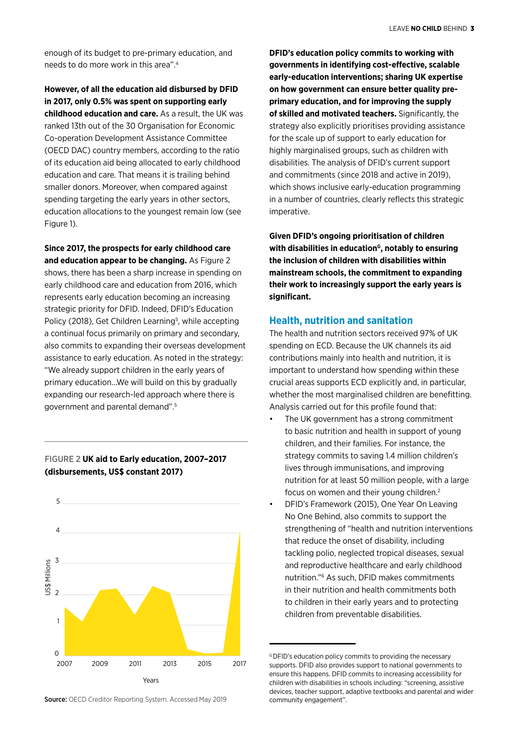enough of its budget to pre-primary education, and needs to do more work in this area".4

#### **However, of all the education aid disbursed by DFID in 2017, only 0.5% was spent on supporting early**

**childhood education and care.** As a result, the UK was ranked 13th out of the 30 Organisation for Economic Co-operation Development Assistance Committee (OECD DAC) country members, according to the ratio of its education aid being allocated to early childhood education and care. That means it is trailing behind smaller donors. Moreover, when compared against spending targeting the early years in other sectors, education allocations to the youngest remain low (see Figure 1).

**Since 2017, the prospects for early childhood care and education appear to be changing.** As Figure 2 shows, there has been a sharp increase in spending on early childhood care and education from 2016, which represents early education becoming an increasing strategic priority for DFID. Indeed, DFID's Education Policy (2018), Get Children Learning<sup>5</sup>, while accepting a continual focus primarily on primary and secondary, also commits to expanding their overseas development assistance to early education. As noted in the strategy: "We already support children in the early years of primary education...We will build on this by gradually expanding our research-led approach where there is government and parental demand".5

#### FIGURE 2 **UK aid to Early education, 2007–2017 (disbursements, US\$ constant 2017)**



**DFID's education policy commits to working with governments in identifying cost-effective, scalable early-education interventions; sharing UK expertise on how government can ensure better quality preprimary education, and for improving the supply of skilled and motivated teachers.** Significantly, the strategy also explicitly prioritises providing assistance for the scale up of support to early education for highly marginalised groups, such as children with disabilities. The analysis of DFID's current support and commitments (since 2018 and active in 2019), which shows inclusive early-education programming in a number of countries, clearly reflects this strategic imperative.

**Given DFID's ongoing prioritisation of children**  with disabilities in education<sup>G</sup>, notably to ensuring **the inclusion of children with disabilities within mainstream schools, the commitment to expanding their work to increasingly support the early years is significant.**

#### **Health, nutrition and sanitation**

The health and nutrition sectors received 97% of UK spending on ECD. Because the UK channels its aid contributions mainly into health and nutrition, it is important to understand how spending within these crucial areas supports ECD explicitly and, in particular, whether the most marginalised children are benefitting. Analysis carried out for this profile found that:

- The UK government has a strong commitment to basic nutrition and health in support of young children, and their families. For instance, the strategy commits to saving 1.4 million children's lives through immunisations, and improving nutrition for at least 50 million people, with a large focus on women and their young children.2
- DFID's Framework (2015), One Year On Leaving No One Behind, also commits to support the strengthening of "health and nutrition interventions that reduce the onset of disability, including tackling polio, neglected tropical diseases, sexual and reproductive healthcare and early childhood nutrition."6 As such, DFID makes commitments in their nutrition and health commitments both to children in their early years and to protecting children from preventable disabilities.

Source: OECD Creditor Reporting System. Accessed May 2019

<sup>&</sup>lt;sup>G</sup> DFID's education policy commits to providing the necessary supports. DFID also provides support to national governments to ensure this happens. DFID commits to increasing accessibility for children with disabilities in schools including: "screening, assistive devices, teacher support, adaptive textbooks and parental and wider community engagement".